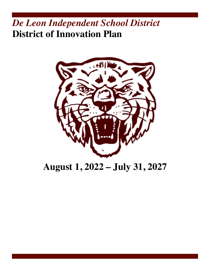# *De Leon Independent School District* **District of Innovation Plan**



# **August 1, 2022 – July 31, 2027**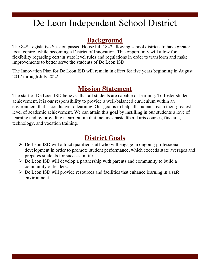# De Leon Independent School District

# **Background**

The 84th Legislative Session passed House bill 1842 allowing school districts to have greater local control while becoming a District of Innovation. This opportunity will allow for flexibility regarding certain state level rules and regulations in order to transform and make improvements to better serve the students of De Leon ISD.

The Innovation Plan for De Leon ISD will remain in effect for five years beginning in August 2017 through July 2022.

# **Mission Statement**

The staff of De Leon ISD believes that all students are capable of learning. To foster student achievement, it is our responsibility to provide a well-balanced curriculum within an environment that is conducive to learning. Our goal is to help all students reach their greatest level of academic achievement. We can attain this goal by instilling in our students a love of learning and by providing a curriculum that includes basic liberal arts courses, fine arts, technology, and vocation training.

# **District Goals**

- $\triangleright$  De Leon ISD will attract qualified staff who will engage in ongoing professional development in order to promote student performance, which exceeds state averages and prepares students for success in life.
- $\triangleright$  De Leon ISD will develop a partnership with parents and community to build a community of leaders.
- $\triangleright$  De Leon ISD will provide resources and facilities that enhance learning in a safe environment.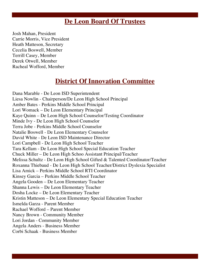# **De Leon Board Of Trustees**

Josh Mahan, President Carrie Morris, Vice President Heath Matteson, Secretary Cecelia Boswell, Member Terrill Casey, Member Derek Otwell, Member Racheal Wofford, Member

# **District Of Innovation Committee**

Dana Marable - De Leon ISD Superintendent Liesa Nowlin - Chairperson/De Leon High School Principal Amber Bates - Perkins Middle School Principal Lori Womack – De Leon Elementary Principal Kaye Quinn – De Leon High School Counselor/Testing Coordinator Minde Ivy - De Leon High School Counselor Terra Jobe - Perkins Middle School Counselor Natalie Boswell - De Leon Elementary Counselor David White - De Leon ISD Maintenance Director Lori Campbell - De Leon High School Teacher Tara Kellam - De Leon High School Special Education Teacher Chuck Miller – De Leon High Schoo Assistant Principal/Teacher Melissa Schultz - De Leon High School Gifted & Talented Coordinator/Teacher Roxanna Thiebaud - De Leon High School Teacher/District Dyslexia Specialist Lisa Amick – Perkins Middle School RTI Coordinator Kinsey Garcia – Perkins Middle School Teacher Angela Gooden – De Leon Elementary Teacher Shanna Lewis – De Leon Elementary Teacher Dosha Locke – De Leon Elementary Teacher Kristin Matteson – De Leon Elementary Special Education Teacher Ismelda Garza - Parent Member Rachael Wofford – Parent Member Nancy Brown - Community Member Lori Jordan - Community Member Angela Anders - Business Member Corbi Schaak - Business Member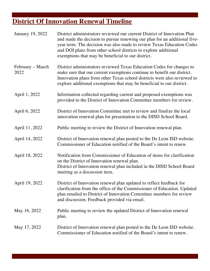# **District Of Innovation Renewal Timeline**

| <b>January 19, 2022</b>  | District administrators reviewed our current District of Innovation Plan<br>and made the decision to pursue renewing our plan for an additional five-<br>year term. The decision was also made to review Texas Education Codes<br>and DOI plans from other school districts to explore additional<br>exemptions that may be beneficial to our district. |
|--------------------------|---------------------------------------------------------------------------------------------------------------------------------------------------------------------------------------------------------------------------------------------------------------------------------------------------------------------------------------------------------|
| February – March<br>2022 | District administrators reviewed Texas Education Codes for changes to<br>make sure that our current exemptions continue to benefit our district.<br>Innovation plans from other Texas school districts were also reviewed to<br>explore additional exemptions that may be beneficial to our district.                                                   |
| April 1, 2022            | Information collected regarding current and proposed exemptions was<br>provided to the District of Innovation Committee members for review.                                                                                                                                                                                                             |
| April 6, 2022            | District of Innovation Committee met to review and finalize the local<br>innovation renewal plan for presentation to the DISD School Board.                                                                                                                                                                                                             |
| April 11, 2022           | Public meeting to review the District of Innovation renewal plan.                                                                                                                                                                                                                                                                                       |
| April 14, 2022           | District of Innovation renewal plan posted to the De Leon ISD website.<br>Commissioner of Education notified of the Board's intent to renew.                                                                                                                                                                                                            |
| April 18, 2022           | Notification from Commissioner of Education of items for clarification<br>on the District of Innovation renewal plan.<br>District of Innovation renewal plan included in the DISD School Board<br>meeting as a discussion item.                                                                                                                         |
| April 19, 2022           | District of Innovation renewal plan updated to reflect feedback for<br>clarification from the office of the Commissioner of Education. Updated<br>plan emailed to District of Innovation Committee members for review<br>and discussion. Feedback provided via email.                                                                                   |
| May 16, 2022             | Public meeting to review the updated District of Innovation renewal<br>plan.                                                                                                                                                                                                                                                                            |
| May 17, 2022             | District of Innovation renewal plan posted to the De Leon ISD website.<br>Commissioner of Education notified of the Board's intent to renew.                                                                                                                                                                                                            |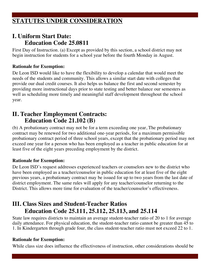# **STATUTES UNDER CONSIDERATION**

### **I. Uniform Start Date: Education Code 25.0811**

First Day of Instruction. (a) Except as provided by this section, a school district may not begin instruction for students for a school year before the fourth Monday in August.

#### **Rationale for Exemption:**

De Leon ISD would like to have the flexibility to develop a calendar that would meet the needs of the students and community. This allows a similar start date with colleges that provide our dual credit courses. It also helps us balance the first and second semester by providing more instructional days prior to state testing and better balance our semesters as well as scheduling more timely and meaningful staff development throughout the school year.

### **II. Teacher Employment Contracts: Education Code 21.102 (B)**

(b) A probationary contract may not be for a term exceeding one year, The probationary contract may be renewed for two additional one-year periods, for a maximum permissible probationary contract period of three school years, except that the probationary period may not exceed one year for a person who has been employed as a teacher in public education for at least five of the eight years preceding employment by the district.

#### **Rationale for Exemption:**

De Leon ISD's request addresses experienced teachers or counselors new to the district who have been employed as a teacher/counselor in public education for at least five of the eight previous years, a probationary contract may be issued for up to two years from the last date of district employment. The same rules will apply for any teacher/counselor returning to the District. This allows more time for evaluation of the teacher/counselor's effectiveness.

# **III. Class Sizes and Student-Teacher Ratios Education Code 25.111, 25.112, 25.113, and 25.114**

State law requires districts to maintain an average student-teacher ratio of 20 to 1 for average daily attendance. For physical education, the student-teacher ratio cannot be greater than 45 to 1. In Kindergarten through grade four, the class student-teacher ratio must not exceed 22 to 1.

#### **Rationale for Exemption:**

While class size does influence the effectiveness of instruction, other considerations should be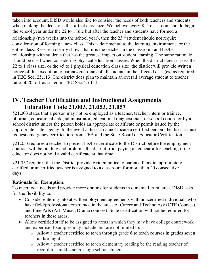taken into account. DISD would also like to consider the needs of both teachers and students when making the decisions that affect class size. We believe every K-4 classroom should begin the school year under the 22 to 1 rule but after the teacher and students have formed a relationship (two weeks into the school year), then the  $23<sup>rd</sup>$  student should not require consideration of forming a new class. This is detrimental to the learning environment for the entire class. Research clearly shows that it is the teacher in the classroom and his/her relationship with students that has the greatest impact on student learning. The same rationale should be used when considering physical education classes. When the district does surpass the 22 to 1 class size, or the 45 to 1 physical education class size, the district will provide written notice of this exception to parents/guardians of all students in the affected class(es) as required in TEC Sec. 25.113. The district does plan to maintain an overall average student to teacher ratio of 20 to 1 as stated in TEC Sec. 25.111.

# **IV. Teacher Certification and Instructional Assignments Education Code 21.003, 21.053, 21.057**

§21.003 states that a person may not be employed as a teacher, teacher intern or trainee, librarian, educational aide, administrator, educational diagnostician, or school counselor by a school district unless the person holds an appropriate certificate or permit issued by the appropriate state agency. In the event a district cannot locate a certified person, the district must request emergency certification from TEA and the State Board of Educator Certification.

§21.053 requires a teacher to present his/her certificate to the District before the employment contract will be binding and prohibits the district from paying an educator for teaching if the educator does not hold a valid certificate at that time.

§21.057 requires that the District provide written notice to parents if any inappropriately certified or uncertified teacher is assigned to a classroom for more than 20 consecutive days.

#### **Rationale for Exemption:**

To meet local needs and provide more options for students in our small, rural area, DISD asks for the flexibility to:

- Consider entering into at-will employment agreements with noncertified individuals who have field/professional experience in the areas of Career and Technology (CTE Courses) and Fine Arts (Art, Music, Drama courses). State certification will not be required for teachers in these areas.
- Allow certified staff to be assigned to areas in which they may have college coursework and expertise. Examples may include, but are not limited to:
	- o Allow a teacher certified to teach through grade 6 to teach courses in grades seven and/or eight
	- o Allow a teacher certified to teach elementary reading be the reading teacher of record for middle and/or high school students.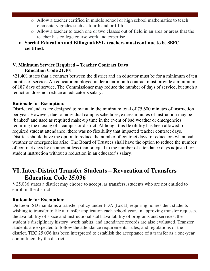- o Allow a teacher certified in middle school or high school mathematics to teach elementary grades such as fourth and or fifth.
- o Allow a teacher to teach one or two classes out of field in an area or areas that the teacher has college course work and expertise.
- **Special Education and Bilingual/ESL teachers must continue to be SBEC certified.**

### **V. Minimum Service Required – Teacher Contract Days Education Code 21.401**

§21.401 states that a contract between the district and an educator must be for a minimum of ten months of service. An educator employed under a ten-month contract must provide a minimum of 187 days of service. The Commissioner may reduce the number of days of service, but such a reduction does not reduce an educator's salary.

#### **Rationale for Exemption:**

District calendars are designed to maintain the minimum total of 75,600 minutes of instruction per year. However, due to individual campus schedules, excess minutes of instruction may be 'banked' and used as required make-up time in the event of bad weather or emergencies requiring the closing of a campus or district. Although this flexibility has been allowed for required student attendance, there was no flexibility that impacted teacher contract days. Districts should have the option to reduce the number of contract days for educators when bad weather or emergencies arise. The Board of Trustees shall have the option to reduce the number of contract days by an amount less than or equal to the number of attendance days adjusted for student instruction without a reduction in an educator's salary.

### **VI. Inter-District Transfer Students – Revocation of Transfers Education Code 25.036**

§ 25.036 states a district may choose to accept, as transfers, students who are not entitled to enroll in the district.

#### **Rationale for Exemption:**

De Leon ISD maintains a transfer policy under FDA (Local) requiring nonresident students wishing to transfer to file a transfer application each school year. In approving transfer requests, the availability of space and instructional staff, availability of programs and services, the student's disciplinary history, work habits, and attendance records are also evaluated. Transfer students are expected to follow the attendance requirements, rules, and regulations of the district. TEC 25.036 has been interpreted to establish the acceptance of a transfer as a one-year commitment by the district.